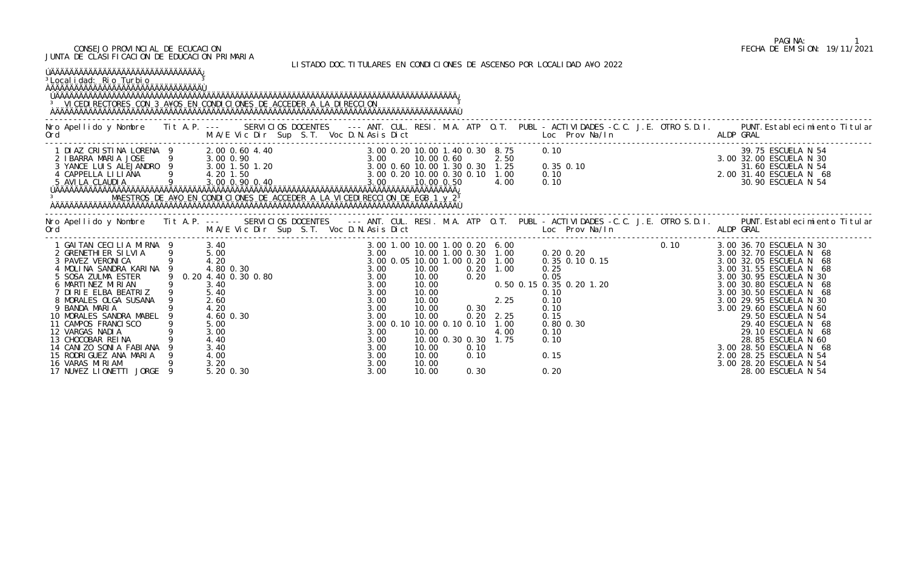## CONSEJO PROVINCIAL DE ECUCACION FECHA DE EMISION: 19/11/2021 JUNTA DE CLASIFICACION DE EDUCACION PRIMARIA

LISTADO DOC.TITULARES EN CONDICIONES DE ASCENSO POR LOCALIDAD A¥O 2022

| <sup>3</sup> Local i dad: Rio Turbio<br><sup>3</sup> VICEDI RECTORES CON 3 A¥OS EN CONDICIONES DE ACCEDER A LA DIRECCION                                                                                                                                                                                                                                                                                                               |        |                                                                                                             |                       |                                              |                                                    |                                                                        |                               | LI JIMDU DUG. II IULMNEJ EN GUNDIGIUNEJ DE MJOENJU IUN EUGMEIDMD MTU ZUZZ                                                              |                                                                                                                                                                                                                                                                                                                                                                                                                                                |
|----------------------------------------------------------------------------------------------------------------------------------------------------------------------------------------------------------------------------------------------------------------------------------------------------------------------------------------------------------------------------------------------------------------------------------------|--------|-------------------------------------------------------------------------------------------------------------|-----------------------|----------------------------------------------|----------------------------------------------------|------------------------------------------------------------------------|-------------------------------|----------------------------------------------------------------------------------------------------------------------------------------|------------------------------------------------------------------------------------------------------------------------------------------------------------------------------------------------------------------------------------------------------------------------------------------------------------------------------------------------------------------------------------------------------------------------------------------------|
| Ord                                                                                                                                                                                                                                                                                                                                                                                                                                    |        |                                                                                                             |                       |                                              |                                                    |                                                                        |                               |                                                                                                                                        | Nro Apellido y Nombre Tit A.P. --- SERVICIOS DOCENTES --- ANT. CUL. RESI. M.A. ATP O.T. PUBL - ACTIVIDADES -C.C. J.E. OTRO S.D.I. PUNT. Establecimiento Titular                                                                                                                                                                                                                                                                                |
|                                                                                                                                                                                                                                                                                                                                                                                                                                        |        |                                                                                                             |                       |                                              |                                                    |                                                                        |                               |                                                                                                                                        |                                                                                                                                                                                                                                                                                                                                                                                                                                                |
| Ord                                                                                                                                                                                                                                                                                                                                                                                                                                    |        |                                                                                                             |                       |                                              |                                                    |                                                                        |                               | . The second of the M.A/E Vic Dir Sup S.T. Voc D.N.Asis Dict [1] Loc Prov Na/In [1] ALDP GRAL                                          | Nro Apellido y Nombre Tit A.P. --- SERVICIOS DOCENTES --- ANT. CUL. RESI. M.A. ATP O.T. PUBL - ACTIVIDADES -C.C. J.E. OTRO S.D.I. PUNT. Establecimiento Titular                                                                                                                                                                                                                                                                                |
| 1 GAITAN CECILIA MIRNA 9 3.40<br>2 GRENETHI ER SI LVI A 9 5.00<br>3 PAVEZ VERONI CA 9 4.20<br>4 MOLINA SANDRA KARINA 9<br>5 SOSA ZULMA ESTER<br>6 MARTINEZ MIRIAN<br>7 DIRIE ELBA BEATRIZ<br>8 MORALES OLGA SUSANA 9<br>9 BANDA MARIA<br>10 MORALES SANDRA MABEL 9<br>11 CAMPOS FRANCISCO<br>12 VARGAS NADIA<br>13 CHOCOBAR REINA<br>14 CANIZO SONIA FABIANA<br>15 RODRIGUEZ ANA MARIA<br>16 VARAS MIRIAM<br>17 NU¥EZ LIONETTI JORGE 9 | 9 5.40 | 4.80 0.30<br>3.40<br>2.60<br>4.20<br>4.60 0.30<br>5.00<br>3.00<br>4.40<br>3.40<br>4.00<br>3.20<br>5.20 0.30 | 9 0.20 4.40 0.30 0.80 | 3.00<br>3.00<br>3.00<br>3.00<br>3.00<br>3.00 | 10.00<br>10.00<br>10.00<br>10.00<br>10.00<br>10.00 | 3.00 0.10 10.00 0.10 0.10 1.00<br>10.00 0.30 0.30 1.75<br>0.10<br>0.30 | $0.20$ $2.25$<br>4.00<br>0.10 | 0. 50 0. 15 0. 35 0. 20 1. 20<br>0. 10<br>2. 25 0. 10<br>0. 10<br>2. 25 0. 15<br>0.15<br>$0.80$ $0.30$<br>0.10<br>0.10<br>0.15<br>0.20 | 3.00 36.70 ESCUELA N 30<br>3.00 32.70 ESCUELA N 68<br>3.00 32.05 ESCUELA N 68<br>3.00 31.55 ESCUELA N 68<br>3.00 30.95 ESCUELA N 30<br>3.00 30.80 ESCUELA N 68<br>3.00 30.50 ESCUELA N 68<br>3.00 29.95 ESCUELA N 30<br>3.00 29.60 ESCUELA N 60<br>29.50 ESCUELA N 54<br>29.40 ESCUELA N 68<br>29.10 ESCUELA N 68<br>28.85 ESCUELA N 60<br>3.00 28.50 ESCUELA N 68<br>2.00 28.25 ESCUELA N 54<br>3.00 28.20 ESCUELA N 54<br>28.00 ESCUELA N 54 |

## PAGINA: 1<br>FECHA DE EMISION: 19/11/2021